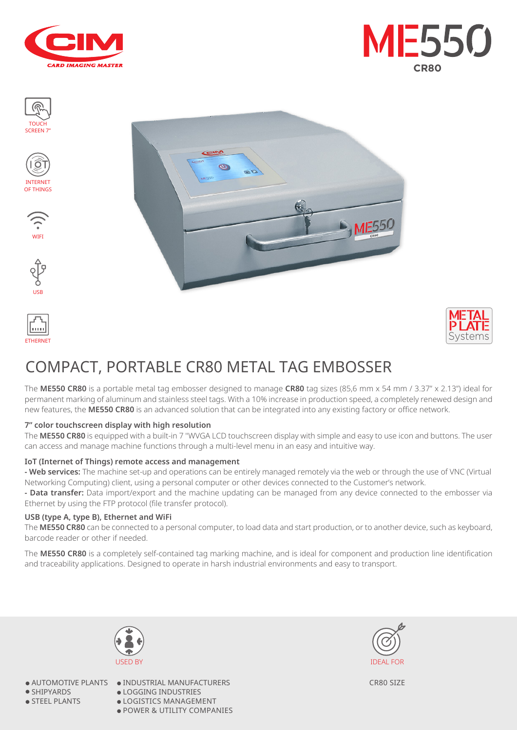















# COMPACT, PORTABLE CR80 METAL TAG EMBOSSER

Ø

 $\approx$ 

The **ME550 CR80** is a portable metal tag embosser designed to manage **CR80** tag sizes (85,6 mm x 54 mm / 3.37" x 2.13") ideal for permanent marking of aluminum and stainless steel tags. With a 10% increase in production speed, a completely renewed design and new features, the **ME550 CR80** is an advanced solution that can be integrated into any existing factory or office network.

#### **7" color touchscreen display with high resolution**

The **ME550 CR80** is equipped with a built-in 7 "WVGA LCD touchscreen display with simple and easy to use icon and buttons. The user can access and manage machine functions through a multi-level menu in an easy and intuitive way.

#### **IoT (Internet of Things) remote access and management**

**- Web services:** The machine set-up and operations can be entirely managed remotely via the web or through the use of VNC (Virtual Networking Computing) client, using a personal computer or other devices connected to the Customer's network.

**- Data transfer:** Data import/export and the machine updating can be managed from any device connected to the embosser via Ethernet by using the FTP protocol (file transfer protocol).

#### **USB (type A, type B), Ethernet and WiFi**

The **ME550 CR80** can be connected to a personal computer, to load data and start production, or to another device, such as keyboard, barcode reader or other if needed.

The **ME550 CR80** is a completely self-contained tag marking machine, and is ideal for component and production line identification and traceability applications. Designed to operate in harsh industrial environments and easy to transport.



● SHIPYARDS

● STEEL PLANTS

● AUTOMOTIVE PLANTS ● INDUSTRIAL MANUFACTURERS ● LOGGING INDUSTRIES ● LOGISTICS MANAGEMENT ● POWER & UTILITY COMPANIES



CR80 SIZE